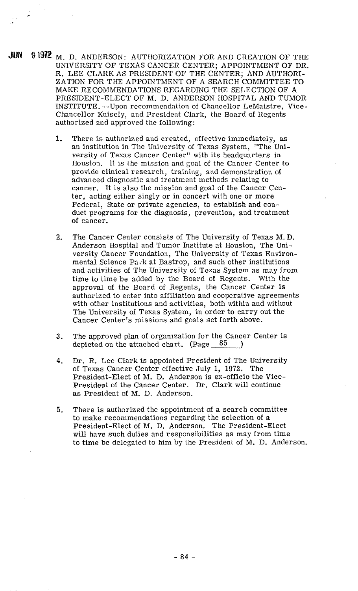**JUN 9 1972** M. D. ANDERSON: AUTHORIZATION FOR AND CREATION OF THE UNIVERSITY OF TEXAS CANCER CENTER; APPOINTMENT OF DR. R. LEE CLARK AS PRESIDENT OF THE CENTER; AND AUTIIORI-ZATION FOR THE APPOINTMENT OF A SEARCH COMMITTEE TO MAKE RECOMMENDATIONS REGARDING THE SELECTION OF A PRESIDENT-ELECT OF M. D. ANDERSON HOSPITAL AND TUMOR INSTITUTE. --Upon recommendation of Chancellor LeMaistre, Vice-Chancellor Knisely, and President Clark, the Board of Regents authorized and approved the following:

- 1. There is authorized and created, effective immediately, as an institution in The University of Texas System, "The University of Texas Cancer Center" with its headquarters in Houston. It is the mission and goal of the Cancer Center to provide clinical research, training, and demonstration of advanced diagnostic and treatment methods relating to cancer. It is also the mission and goal of the Cancer Center, acting either singly or in concert with one or more Federal, State or private agencies, to establish and conduct programs for the diagnosis, prevention, and treatment of cancer.
- **2.** The Cancer Center consists of The University of Texas M. D. Anderson Hospital and Tumor Institute at Houston, The University Cancer Foundation, The University of Texas Environmental Science Pack at Bastrop, and such other institutions and activities of The University of Texas System as may from time to time be added by the Board of Regents. With the approval of the Board of Regents, the Cancer Center is authorized to enter into affiliation and cooperative agreements with other institutions and activities, both within and without The University of Texas System, in order to carry out the Cancer Center's missions and goals set forth above.
- **3.** The approved plan of organization for the Cancer Center is depicted on the attached chart. (Page  $85$ )
- **4.** Dr. R. Lee Clark is appointed President of The University of Texa.s Cancer Center effective July 1, **1972.** The President-Elect of M. D. Anderson is ex-officio the Vice-President of the Cancer Center. Dr. Clark will continue as President of M. D. Anderson.
- 5. There is authorized the appointment of a search committee to make recommendations regarding the selection of a President-Elect of M. D. Anderson. The President-Elect will have such duties and responsibilities as may from time to time be delegated to him by the President of M. D. Anderson.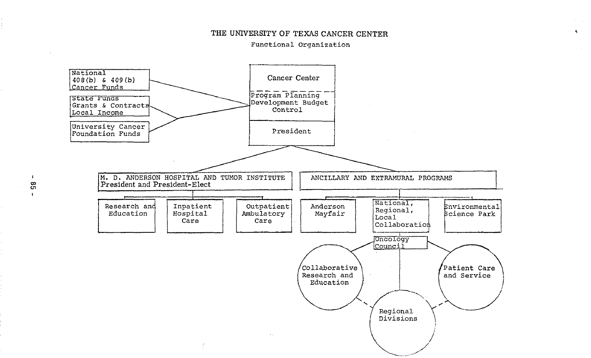## THE UNIVERSITY OF TEXAS CANCER CENTER

 $\blacktriangleleft$ 

## Functional Organization



 $\mathbf{r}$  $\mathbf{g}$  $\mathbf{F}$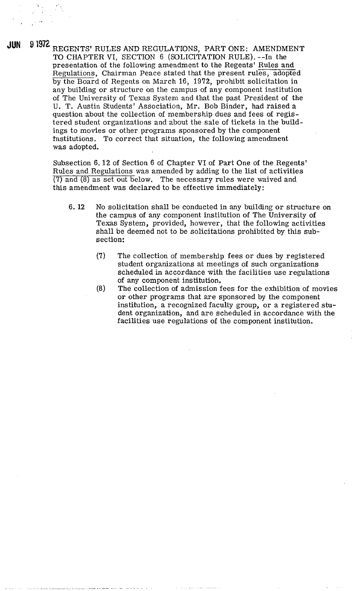**JUN** 9 1972 REGENTS' RULES AND REGULATIONS, PART ONE: AMENDMENT TO CHAPTER VI, SECTION 6 (SOLICITATION RULE). --In the presentation of the following amendment to the Regents' Rules and Regulations, Chairman Peace stated that the present rules, adopted by the Board of Regents on March 16, 1972, prohibit solicitation in any building or structure on the campus of any component institution of The University of Texas System and that the past President of the U. T. Austin Students' Association, Mr. Bob Binder, had raised a question about the collection of membership dues and fees of registered student organizations and about the sale of tickets in the buildings to movies or other programs sponsored by the component institutions. To correct that situation, the following amendment was adopted.

> Subsection 6.12 of Section 6 of Chapter VI of Part One of the Regents' Rules and Regulations was amended by adding to the list of activities (7) and (8) as set out below. The necessary rules were waived and this amendment was declared to be effective immediately:

- **6. 12** No solicitation shall be conducted in any building or structure on the campus of any component institution of The University of Texas System, provided, however, that the following activities shall be deemed not to be solicitations prohibited by this subsection:
	- (7) The collection of membership fees or dues by registered student organizations at meetings of such organizations scheduled in accordance with the facilities use regulations of any component institution.
	- (8) The collection of admission fees for the exhibition of movies or other programs that axe sponsored by the component institution, a recognized faculty group, or a registered student organization, and are scheduled in accordance with the facilities use regulations of the component institution.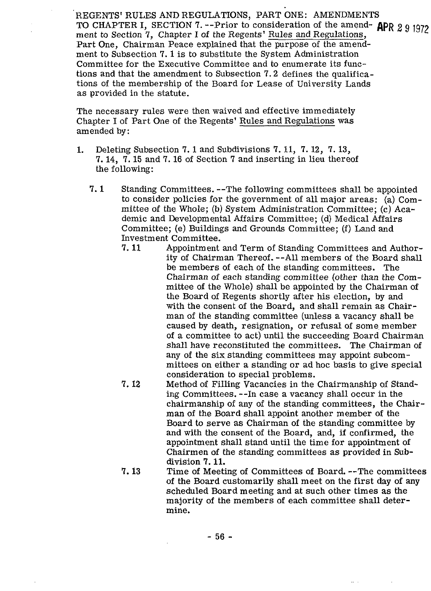REGENTS' RULES AND REGULATIONS, PART ONE: AMENDMENTS TO CHAPTER I, SECTION 7. --Prior to consideration of the amend- **APR** 2 9 1972 ment to Section 7, Chapter I of the Regents' Rules and Regulations, Part One, Chairman Peace explained that the purpose of the amendment to Subsection 7. 1 is to substitute the System Administration Committee for the Executive Committee and to enumerate its functions and that the amendment to Subsection 7.2 defines the qualifications of the membership of the Board for Lease of University Lands as provided in the statute.

The necessary rules were then waived and effective immediately Chapter I of Part One of the Regents' Rules and Regulations was amended by:

- 1. Deleting Subsection **7.** 1 and Subdivisions **7.** 11, **7.** 12, **7.** 13, **7.** 14, 7.15 and 7.16 of Section **7** and inserting in lieu thereof the following:
	- **7.1** Standing Committees. --The following committees shall be appointed to consider policies for the government of all major areas: (a) Committee of the Whole; (b) System Administration Committee; (c) Academic and Developmental Affairs Committee; (d) Medical Affairs Committee; (e) Buildings and Grounds Committee; (f) Land and Investment Committee.<br>7.11 Appointment
		- Appointment and Term of Standing Committees and Authority of Chairman Thereof. --All members of the Board shall be members of each of the standing committees. The Chairman of each standing committee (other than the Committee of the Whole) shall be appointed by the Chairman of the Board of Regents shortly after his election, by and with the consent of the Board, and shall remain as Chairman of the standing committee (unless a vacancy shall be caused by death, resignation, or refusal of some member of a committee to act) until the succeeding Board Chairman shall have reconstituted the committees. The Chairman of any of the six standing committees may appoint subcommittees on either a standing or ad hoc basis to give special consideration to special problems.
		- 7. **12** Method of FiIIing Vacancies in the Chairmanship of Standing Committees. --In case a vacancy shall occur in the chairmanship of any of the standing committees, the Chairman of the Board shall appoint another member of the Board to serve as Chairman of the standing committee by and with the consent of the Board, and, if confirmed, the appointment shall stand until the time for appointment of Chairmen of the standing committees as provided in Subdivision **7.11.**
		- **7. 13** Time of Meeting of Committees of Board. --The committees of the Board customarily shall meet on the first day of any scheduled Board meeting and at such other times as the majority of the members of each committee shall determine.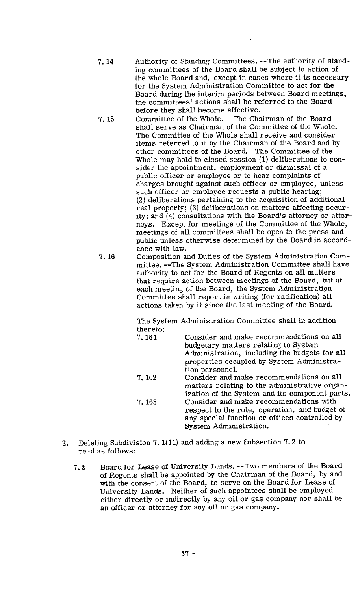- 7.14 Authority of Standing Committees. --The authority of standing committees of the Board shall be subject to action of the whole Board and, except in cases where it is necessary for the System Administration Committee to act for the Board during the interim periods between Board meetings, the committees' actions shall be referred to the Board before they shall become effective.
- 7.15 Committee of the Whole. --The Chairman of the Board shall serve as Chairman of the Committee of the Whole. The Committee of the Whole shall receive and consider items referred to it by the Chairman of the Board and by other committees of the Board. The Committee of the Whole may hold in closed session (1) deliberations to consider the appointment, employment or dismissal of a public officer or employee or to hear complaints of charges brought against such officer or employee, unless such officer or employee requests a public hearing; (2) deliberations pertaining to the acquisition of additional real property; (3) deliberations on matters affecting security; and **(4)** consultations with the Board's attorney or attorneys. Except for meetings of the Committee of the Whole, meetings of all committees shall be open to the press and public unless otherwise determined by the Board in accordance with law.
- 7.16 Composition and Duties of the System Administration Committee. --The System Administration Committee shall have authority to act for the Board of Regents on all matters that require action between meetings of the Board, but at each meeting of the Board, the System Administration Committee shall report in writing (for ratification) all actions taken by it since the last meeting of the Board.

The System Administration Committee shall in addition thereto:

- 7.161 Consider and make recommendations on all budgetary matters relating to System Administration, including the budgets for all properties occupied by System Administration personnel. 7.162 Consider and make recommendations on all matters relating to the administrative organization of the System and its component parts. 7.163 Consider and make recommendations with respect to the role, operation, and budget of any special function or offices controlled by System Administration.
- 2. Deleting Subdivision 7. l(11) and adding a new Subsection 7.2 to read as follows:
	- 7.2 Board for Lease of University Lands. --Two members of the Board of Regents shall be appointed by the Chairman of the Board, by and with the consent of the Board, to serve on the Board for Lease of University Lands. Neither of such appointees shall be employed either directly or indirectly by any oil or gas company nor shall be an officer or attorney for any oil or gas company.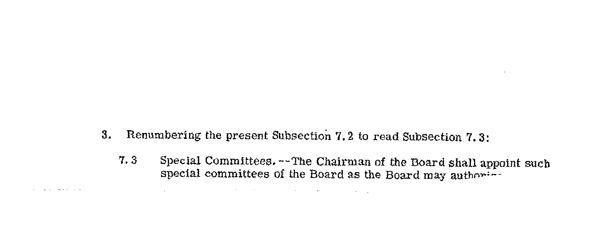**3.** Renumbering the present Subsection 7.2 to read Subsection 7.3:

and the control of the control of the control of the control of the control of

And the American State of the American

**7.3** Special Committees. --The Chairman of the Board **shall** appoint such special committees of the Board as the Board may authorities

**Contract**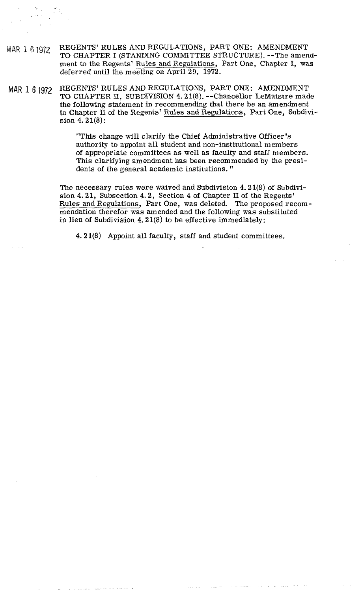- MAR 1 6 1972 REGENTS' RULES AND REGULATIONS, PART ONE: AMENDMENT TO CHAPTER I (STANDING COMMITTEE STRUCTURE). --The amendment to the Regents' Rules and Regulations, Part One, Chapter I, was deferred until the meeting on April 29, 1972.
- MAR 1 *6* 1972 REGENTS' RULES AND REGULATIONS, PART ONE: AMENDMENT TO CHAPTER **11,** SUBDIVISION 4.21(8). --Chancellor LeMaistre made the following statement in recommending that there be an amendment to Chapter **II** of the Regents' Rules and Regulations, Part One, Subdivision 4.21(8):

"This change will clarify the Chief Administrative Officer's authority to appoint all student and non-institutional members of appropriate committees as well as faculty and staff members. This clarifying amendment has been recommended by the presidents of the general academic institutions. "

The necessary rules were waived and Subdivision 4.21(8) of Subdivision 4.21, Subsection 4.2, Section 4 of Chapter **I1** of the Regents' Rules and Regulations, Part One, was deleted. The proposed recommendation therefor was amended and the following was substituted in lieu of Subdivision 4.21 $(8)$  to be effective immediately:

4.21(8) Appoint all faculty, staff and student committees.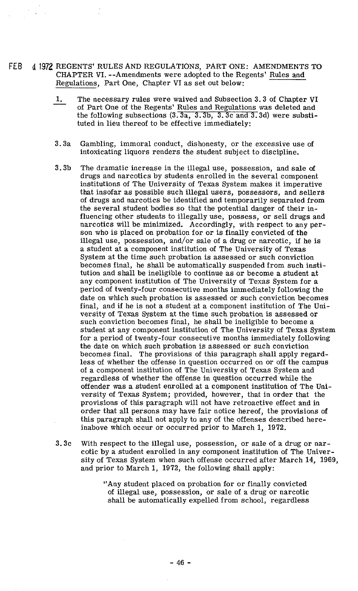- FEB 4 1972 REGENTS' RULES AND REGULATIONS, PART ONE: AMENDMENTS TO CHAPTER VI. --Amendments were adopted to the Regents' Rules and<br>Regulations, Part One, Chapter VI as set out below:<br>1. The necessary rules were waived and Subsection 3.3 of Chapter<br>of Part One of the Regents' Rules and Reg Regulations, Part One, Chapter VI as set out below:
	- 1. The necessary rules were waived and Subsection 3.3 of Chapter VI of Part One of the Regents' Rules and Regulations was deleted and the following subsections  $(3.3a, 3.3b, 3.3c$  and  $3.3d$ ) were substituted in lieu thereof to be effective immediately:
	- 3.3a Gambling, immoral conduct, dishonesty, or the excessive use of intoxicating liquors renders the student subject to discipline.
	- 3.3b The dramatic increase in the illegal use, possession, and sale of drugs and narcotics by students enrolled in the several component institutions of The University of Texas System makes it imperative that insofar as possible such illegal users, possessors, and sellers of drugs and narcotics be identified and temporarily separated from the several student bodies so that the potential danger of their influencing other students to illegally use, possess, or sell drugs and narcotics will be minimized. Accordingly, with respect to any person who is placed on probation for or is finally convicted of the illegal use, possession, and/or sale of a drug or narcotic, if he is a student at a component institution of The University of Texas System at the time such probation is assessed or such conviction becomes final, he shall be automatically suspended from such institution and shall be ineligible to continue as or become a student at any component institution of The University of Texas System for a period of twenty-four consecutive months immediately following the date on which such probation is assessed or such conviction becomes final, and if he is not a student at a component institution of The University of Texas System at the time such probation is assessed or such conviction becomes final, he shall be ineligible to become a student at any component institution of The University of Texas System for a period of twenty-four consecutive months immediately following the date on which such probation is assessed or such conviction becomes final. The provisions of this paragraph shall apply regardless of whether the offense in question occurred on or off the campus of a component institution of The University of Texas System and regardless of whether the offense in question occurred while the offender was a student enrolled at a component institution of The University of Texas System; provided, however, that in order that the provisions of this paragraph will not have retroactive effect and in order that all persons may have fair notice hereof, the provisions of this paragraph shall not apply to any of the offenses described hereinabove which occur or occurred prior to March 1, 1972.
	- 3.3<sup>c</sup> With respect to the illegal use, possession, or sale of a drug or narcotic by a student enrolled in any component institution of The University of Texas System when such offense occurred after March 14, 1969, and prior to March 1, 1972, the following shall apply:
		- "Any student placed on probation for or finally convicted of illegal use, possession, or sale of a drug or narcotic shall be automatically expelled from school, regardless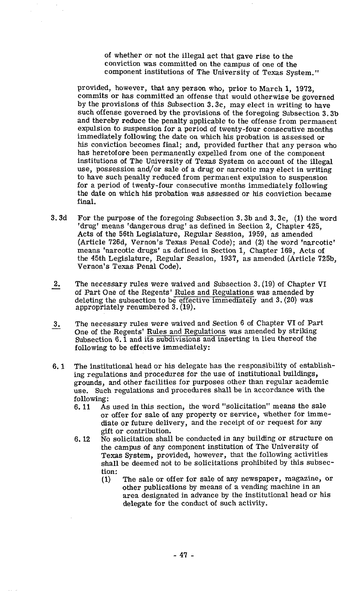of whether or not the illegal act that gave rise to the conviction was committed on the campus of one of the component institutions of The University of Texas System."

provided, however, that any person who, prior to March 1, 1972, commits or has committed an offense that would otherwise be governed by the provisions of this Subsection 3.3c, may elect in writing to have such offense governed by the provisions of the foregoing Subsection 3.3b and thereby reduce the penalty applicable to the offense from permanent expulsion to suspension for a period of twenty-four consecutive months immediately following the date on which his probation is assessed or his conviction becomes final; and, provided further that any person who has heretofore been permanently expelled from one of the component institutions of The University of Texas System on account of the illegal use, possession and/or sale of a drug or narcotic may elect in writing to have such penalty reduced from permanent expulsion to suspension for a period of twenty-four consecutive months immediately following the date on which his probation was assessed or his conviction became final.

- 3.3d For the purpose of the foregoing Subsection 3.3b and 3.3c, (1) the word 'drug' means 'dangerous drug' as defined in Section 2, Chapter 425, Acts of the 56th Legislature, Regular Session, 1959, as amended (Article 726d, Vernon's Texas Penal Code); and (2) the word 'narcotic' means 'narcotic drugs' as defined in Section 1, Chapter 169, Acts of the 45th Legislature, Regular Session, 1937, as amended (Article 725b, Vernon's Texas Penal Code).
- 2. The necessary rules were waived and Subsection 3. (19) of Chapter VI of Part One of the Regents' Rules and Regulations was amended by deleting the subsection to be effective immediately and 3. (20) was appropriately renumbered 3. (19).
- appropriately renumbered 3.(19).<br>
3. The necessary rules were waived and Section 6 of Chapter VI of Part<br>
One of the Regents' <u>Rules and Regulations</u> was amended by striking Subsection 6.1 and its subdivisions and inserting in lieu thereof the following to be effective immediately:
- 6.1 The institutional head or his delegate has the responsibility of establishing regulations and procedures for the use of institutional buildings, grounds, and other facilities for purposes other than regular academic use. Such regulations and procedures shall be in accordance with the following:<br>6.11 As
	- As used in this section, the word "solicitation" means the sale or offer for sale of any property or service, whether for immediate or future delivery, and the receipt of or request for any gift or contribution.
	- 6. 12 No solicitation shall be conducted in any building or structure on the campus of any component institution of The University of Texas System, provided, however, that the following activities shall be deemed not to be solicitations prohibited by this subsection:<br> $(1)$ 
		- The sale or offer for sale of any newspaper, magazine, or other publications by means of a vending machine in an area designated in advance by the institutional head or his delegate for the conduct of such activity.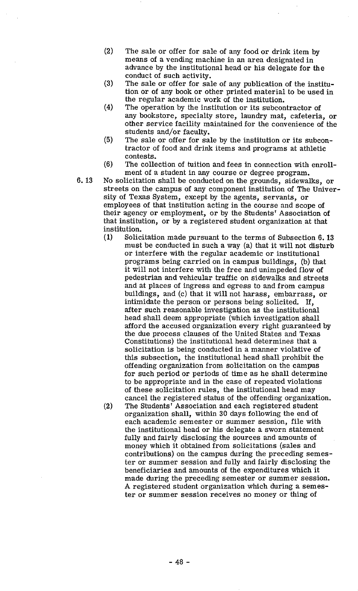- $(2)$ The sale or offer for sale of any food or drink item by means of a vending machine in an area designated in advance by the institutional head or his delegate for the conduct of such activity.
- $(3)$ The sale or offer for sale of any publication of the institution or of any book or other printed material to be used in the regular academic work of the institution.
- $(4)$ The operation by the institution or its subcontractor of any bookstore, specialty store, laundry mat, cafeteria, or other service facility maintained for the convenience of the students and/or faculty.
- The sale or offer for sale by the institution or its subcon- $(5)$ tractor of food and drink items and programs at athletic contests.
- $(6)$ The collection of tuition and fees in connection with enrollment of a student in any course or degree program.
- 6.13 No solicitation shall be conducted on the grounds, sidewalks, or streets on the campus of any component institution of The University of Texas System, except by the agents, servants, or employees of that institution acting in the course and scope of their agency or employment, or by the Students' Association of that institution, or by a registered student organization at that institution.
	- (1) Solicitation made pursuant to the terms of Subsection 6. **<sup>13</sup>** must be conducted in such a way (a) that it will not disturb or interfere with the regular academic or institutional programs being carried on in campus buildings, (b) that it will not interfere with the free and unimpeded flow of pedestrian and vehicular traffic on sidewalks and streets and at places of ingress and egress to and from campus buildings, and (c) that it will not harass, embarrass, or intimidate the person or persons being solicited. If, after such reasonable investigation as the institutional head shall deem appropriate (which investigation shall afford the accused organization every right guaranteed by the due process clauses of the United States and Texas Constitutions) the institutional head determines that a solicitation is being conducted in a manner violative of this subsection, the institutional head shall prohibit the offending organization from solicitation on the campus for such period or periods of time as he shall determine to be appropriate and in the case of repeated violations of these solicitation rules, the institutional head may cancel the registered status of the offending organization. (2) The Students' Association and each registered student organization shall, within **30** days following the end of each academic semester or summer session, file with the institutional head or his delegate a sworn statement fully and fairly disclosing the sources and amounts of money which it obtained from solicitations (sales and contributions) on the campus during the preceding semester or summer session and fully and fairly disclosing the beneficiaries and amounts of the expenditures which it made during the preceding semester or summer session. A registered student organization which during a semester or summer session receives no money or thing of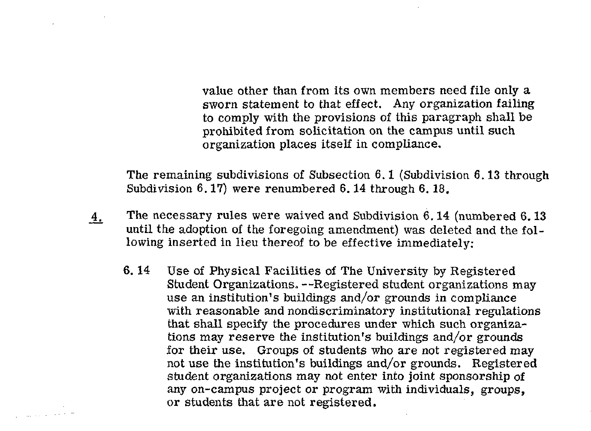value other than from its own members need file only a sworn statement to that effect. Any organization failing to comply with the provisions of this paragraph shall be prohibited from solicitation on the campus until such organization places itself in compliance.

The remaining subdivisions of Subsection **6.1** (Subdivision **6.13** through Subdivision **6.17)** were renumbered **6.14** through **6.18.** 

- **4.** The necessary rules were waived and Subdivision **6.14** (numbered **6.13**  until the adoption of the foregoing amendment) was deleted and the following inserted in lieu thereof to be effective immediately:
	- **6. 14** Use of Physical Facilities of The University by Registered Student Organizations. --Registered student organizations may use an institution's buildings and/or grounds in compliance with reasonable and nondiscriminatory institutional regulations that shall specify the procedures under which such organizations may reserve the institution's buildings and/or grounds for their use. Groups of students who are not registered may not use the institution's buildings and/or grounds. Registered student organizations may not enter into joint sponsorship of any on-campus project or program with individuals, groups, or students that are not registered.

Charles Construction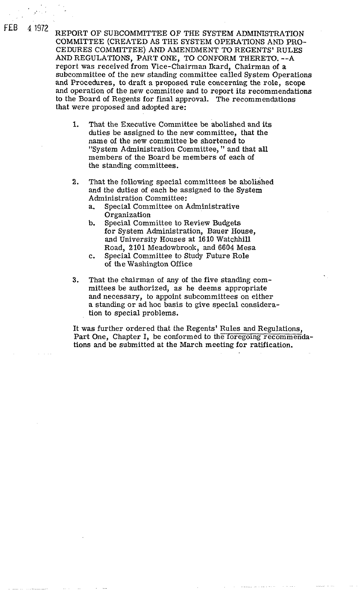4 1972 REPORT OF SUBCOMMITTEE OF THE SYSTEM ADMINISTRATION COMMITTEE (CREATED AS THE SYSTEM OPERATIONS AND PRO-CEDURES COMMITTEE) AND AMENDMENT TO REGENTS' RULES AND REGULATIONS, PART ONE, TO CONFORM THERETO. --A report was received from Vice-chairman lkard, Chairman of a subcommittee of the new standing committee called System Operations and Procedures, to draft a proposed rule concerning the role, scope and operation of the new committee and to report its recommendations to the Board of Regents for final approval. The recommendations that were proposed and adopted are:

FEB

- 1. That the Executive Committee be abolished and its duties be assigned to the new committee, that the name of the new committee be shortened to "System Administration Committee, " and that all members of the Board be members of each of the standing committees.
- 2. That the following special committees be abolished and the duties of each be assigned to the System Administration Committee:
	- a. Special Committee on Administrative Organization
	- b. Special Committee to Review Budgets for System Administration, Bauer House, and University Houses at 1610 Watchhill Road, 2101 Meadowbrook, and 6604 Mesa
	- c. Special Committee to Study Future Role of the Washington Office
- **3.** That the chairman of any of the five standing committees be authorized, as he deems appropriate and necessary, to appoint subcommittees on either a standing or ad hoc basis to give special consideration to special problems.

It was further ordered that the Regents' Rules and Regulations, Part One, Chapter I, be conformed to the foregoing recommendations and be submitted at the March meeting for ratification.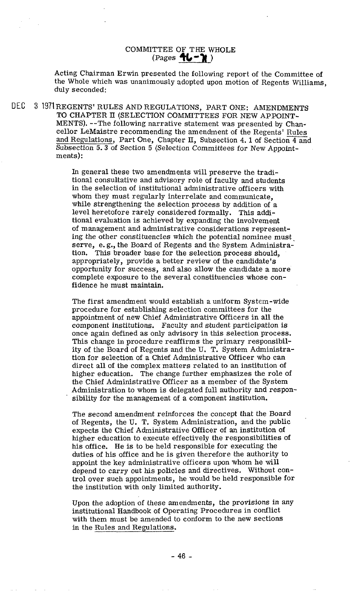## COMMITTEE OF THE WHOLE  $(Pages$   $\uparrow \downarrow - \uparrow \downarrow)$

Acting Chairman Erwin presented the following report of the Committee of the Whole which was unanimously adopted upon motion of Regents Williams, duly seconded:

DEC **3** 1971 REGENTS' RULES AND REGULATIONS, PART ONE: AMENDMENTS TO CHAPTER **11** (SELECTION COMMITTEES FOR NEW APPOINT-MENTS). --The following narrative statement was presented by Chancellor LeMaistre recommending the amendment of the Regents' Rules and Regulations, Part One, Chapter **11,** Subsection 4. 1 of Section 4 and Subsection **5.3** of Section **5** (Selection Committees for New Appointments):

> In general these two amendments will preserve the traditional consultative and advisory role of faculty and students in the selection of institutional administrative officers with whom they must regularly interrelate and communicate, while strengthening the selection process by addition of a level heretofore rarely considered formally. This additional evaluation is achieved by expanding the involvement of management and administrative considerations representing the other constituencies which the potential nominee must. serve, e.g., the Board of Regents and the System Administra-<br>tion. This broader base for the selection process should. This broader base for the selection process should, appropriately, provide a better review of the candidate's opportunity for success, and also allow the candidate a more complete exposure to the several constituencies whose confidence he must maintain.

The first amendment would establish a uniform System-wide procedure for establishing selection committees for the appointment of new Chief Administrative Officers in all the component institutions. Faculty and student participation is once again defined as only advisory in this selection process. This change in procedure reaffirms the primary responsibility of the Board of Regents and the U. T. System Administration for selection of a Chief Administrative Officer who can direct all of the complex matters related to an institution of higher education. The change further emphasizes the role of the Chief Administrative Officer as a member of the System Administration to whom is delegated full authority and responsibility for the management of a component institution.

The second amendment reinforces the concept that the Board of Regents, the U. T. System Administration, and the public expects the Chief Administrative Officer of an institution of higher education to execute effectively the responsibilities of his office. He is to be held responsible for executing the duties of his office and he is given therefore the authority to appoint the key administrative officers upon whom he will depend to carry out his policies and directives. Without control over such appointments, he would be held responsible for the institution with only limited authority.

Upon the adoption of these amendments, the provisions in any institutional Handbook of Operating Procedures in conflict with them must be amended to conform to the new sections in the Rules and Regulations.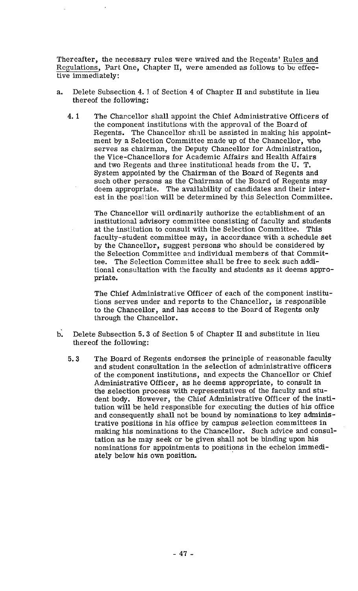Thereafter, the necessary rules were waived and the Regents' Rules and Regulations, Part One, Chapter II, were amended as follows to be effective immediately:

- a. Delete Subsection 4. 3, of Section 4 of Chapter **I1** and substitute in lieu thereof the following:
	- 4.1 The Chancellor shall appoint the Chief Administrative Officers of the component institutions with the approval of the Board of Regents. The Chancellor shall be assisted in making his appointment by a Selection Committee made up of the Chancellor, who serves as chairman, the Deputy Chancellor for Administration, the Vice-Chancellors for Academic Affairs and Health Affairs and two Regents and three institutional heads from the U. T. System appointed by the Chairman of the Board of Regents and such other persons as the Chairman of the Board of Regents may deem appropriate. The availability of candidates and their interest in the position will be determined by this Selection Committee.

The Chancellor will ordinarily authorize the establishment of an institutional advisory committee consisting of faculty and students at the institution to consult with the Selection Committee. This faculty-student committee may, in accordance with a schedule set by the Chancellor, suggest persons who should be considered by the Selection Committee and individual members of that Committee. The Selection Committee shall be free to seek such additional consultation with the faculty and students as it deems appropriate.

The Chief Administrative Officer of each of the component institutions serves under and reports to the Chancellor, is responsible to the Chancellor, and has access to the Board of Regents only through the Chancellor.

- b: Delete Subsection **5.3** of Section **5** of Chapter **11** and substitute in lieu thereof the following:
	- **5.3** The Board of Regents endorses the principle of reasonable faculty and student consultation in the selection of administrative officers of the component institutions, and expects the Chancellor or Chief Administrative Officer, as he deems appropriate, to consult in the selection process with representatives of the faculty and student body. However, the Chief Administrative Officer of the institution will be held responsible for executing the duties of his office and consequently shall not be bound by nominations to key administrative positions in his office by campus selection committees in making his nominations to the Chancellor. Such advice and consultation as he may seek or be given shall not be binding upon his nominations for appointments to positions in the echelon immediately below his own position.